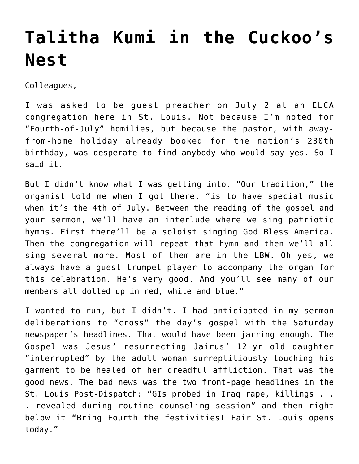## **[Talitha Kumi in the Cuckoo's](https://crossings.org/talitha-kumi-in-the-cuckoos-nest/) [Nest](https://crossings.org/talitha-kumi-in-the-cuckoos-nest/)**

Colleagues,

I was asked to be guest preacher on July 2 at an ELCA congregation here in St. Louis. Not because I'm noted for "Fourth-of-July" homilies, but because the pastor, with awayfrom-home holiday already booked for the nation's 230th birthday, was desperate to find anybody who would say yes. So I said it.

But I didn't know what I was getting into. "Our tradition," the organist told me when I got there, "is to have special music when it's the 4th of July. Between the reading of the gospel and your sermon, we'll have an interlude where we sing patriotic hymns. First there'll be a soloist singing God Bless America. Then the congregation will repeat that hymn and then we'll all sing several more. Most of them are in the LBW. Oh yes, we always have a guest trumpet player to accompany the organ for this celebration. He's very good. And you'll see many of our members all dolled up in red, white and blue."

I wanted to run, but I didn't. I had anticipated in my sermon deliberations to "cross" the day's gospel with the Saturday newspaper's headlines. That would have been jarring enough. The Gospel was Jesus' resurrecting Jairus' 12-yr old daughter "interrupted" by the adult woman surreptitiously touching his garment to be healed of her dreadful affliction. That was the good news. The bad news was the two front-page headlines in the St. Louis Post-Dispatch: "GIs probed in Iraq rape, killings . . . revealed during routine counseling session" and then right below it "Bring Fourth the festivities! Fair St. Louis opens today."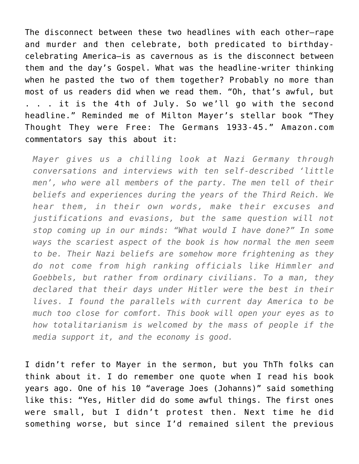The disconnect between these two headlines with each other–rape and murder and then celebrate, both predicated to birthdaycelebrating America–is as cavernous as is the disconnect between them and the day's Gospel. What was the headline-writer thinking when he pasted the two of them together? Probably no more than most of us readers did when we read them. "Oh, that's awful, but . . . it is the 4th of July. So we'll go with the second headline." Reminded me of Milton Mayer's stellar book "They Thought They were Free: The Germans 1933-45." Amazon.com commentators say this about it:

*Mayer gives us a chilling look at Nazi Germany through conversations and interviews with ten self-described 'little men', who were all members of the party. The men tell of their beliefs and experiences during the years of the Third Reich. We hear them, in their own words, make their excuses and justifications and evasions, but the same question will not stop coming up in our minds: "What would I have done?" In some ways the scariest aspect of the book is how normal the men seem to be. Their Nazi beliefs are somehow more frightening as they do not come from high ranking officials like Himmler and Goebbels, but rather from ordinary civilians. To a man, they declared that their days under Hitler were the best in their lives. I found the parallels with current day America to be much too close for comfort. This book will open your eyes as to how totalitarianism is welcomed by the mass of people if the media support it, and the economy is good.*

I didn't refer to Mayer in the sermon, but you ThTh folks can think about it. I do remember one quote when I read his book years ago. One of his 10 "average Joes (Johanns)" said something like this: "Yes, Hitler did do some awful things. The first ones were small, but I didn't protest then. Next time he did something worse, but since I'd remained silent the previous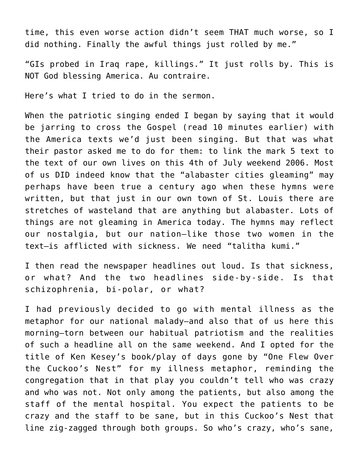time, this even worse action didn't seem THAT much worse, so I did nothing. Finally the awful things just rolled by me."

"GIs probed in Iraq rape, killings." It just rolls by. This is NOT God blessing America. Au contraire.

Here's what I tried to do in the sermon.

When the patriotic singing ended I began by saying that it would be jarring to cross the Gospel (read 10 minutes earlier) with the America texts we'd just been singing. But that was what their pastor asked me to do for them: to link the mark 5 text to the text of our own lives on this 4th of July weekend 2006. Most of us DID indeed know that the "alabaster cities gleaming" may perhaps have been true a century ago when these hymns were written, but that just in our own town of St. Louis there are stretches of wasteland that are anything but alabaster. Lots of things are not gleaming in America today. The hymns may reflect our nostalgia, but our nation–like those two women in the text–is afflicted with sickness. We need "talitha kumi."

I then read the newspaper headlines out loud. Is that sickness, or what? And the two headlines side-by-side. Is that schizophrenia, bi-polar, or what?

I had previously decided to go with mental illness as the metaphor for our national malady–and also that of us here this morning–torn between our habitual patriotism and the realities of such a headline all on the same weekend. And I opted for the title of Ken Kesey's book/play of days gone by "One Flew Over the Cuckoo's Nest" for my illness metaphor, reminding the congregation that in that play you couldn't tell who was crazy and who was not. Not only among the patients, but also among the staff of the mental hospital. You expect the patients to be crazy and the staff to be sane, but in this Cuckoo's Nest that line zig-zagged through both groups. So who's crazy, who's sane,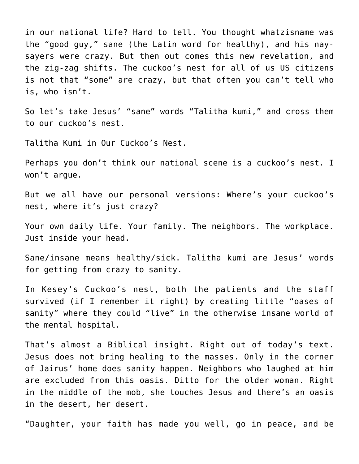in our national life? Hard to tell. You thought whatzisname was the "good guy," sane (the Latin word for healthy), and his naysayers were crazy. But then out comes this new revelation, and the zig-zag shifts. The cuckoo's nest for all of us US citizens is not that "some" are crazy, but that often you can't tell who is, who isn't.

So let's take Jesus' "sane" words "Talitha kumi," and cross them to our cuckoo's nest.

Talitha Kumi in Our Cuckoo's Nest.

Perhaps you don't think our national scene is a cuckoo's nest. I won't argue.

But we all have our personal versions: Where's your cuckoo's nest, where it's just crazy?

Your own daily life. Your family. The neighbors. The workplace. Just inside your head.

Sane/insane means healthy/sick. Talitha kumi are Jesus' words for getting from crazy to sanity.

In Kesey's Cuckoo's nest, both the patients and the staff survived (if I remember it right) by creating little "oases of sanity" where they could "live" in the otherwise insane world of the mental hospital.

That's almost a Biblical insight. Right out of today's text. Jesus does not bring healing to the masses. Only in the corner of Jairus' home does sanity happen. Neighbors who laughed at him are excluded from this oasis. Ditto for the older woman. Right in the middle of the mob, she touches Jesus and there's an oasis in the desert, her desert.

"Daughter, your faith has made you well, go in peace, and be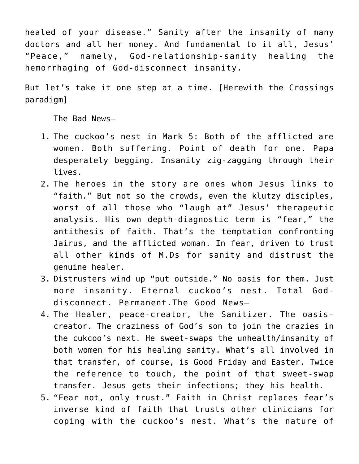healed of your disease." Sanity after the insanity of many doctors and all her money. And fundamental to it all, Jesus' "Peace," namely, God-relationship-sanity healing the hemorrhaging of God-disconnect insanity.

But let's take it one step at a time. [Herewith the Crossings paradigm]

The Bad News–

- 1. The cuckoo's nest in Mark 5: Both of the afflicted are women. Both suffering. Point of death for one. Papa desperately begging. Insanity zig-zagging through their lives.
- 2. The heroes in the story are ones whom Jesus links to "faith." But not so the crowds, even the klutzy disciples, worst of all those who "laugh at" Jesus' therapeutic analysis. His own depth-diagnostic term is "fear," the antithesis of faith. That's the temptation confronting Jairus, and the afflicted woman. In fear, driven to trust all other kinds of M.Ds for sanity and distrust the genuine healer.
- 3. Distrusters wind up "put outside." No oasis for them. Just more insanity. Eternal cuckoo's nest. Total Goddisconnect. Permanent.The Good News–
- 4. The Healer, peace-creator, the Sanitizer. The oasiscreator. The craziness of God's son to join the crazies in the cukcoo's next. He sweet-swaps the unhealth/insanity of both women for his healing sanity. What's all involved in that transfer, of course, is Good Friday and Easter. Twice the reference to touch, the point of that sweet-swap transfer. Jesus gets their infections; they his health.
- 5. "Fear not, only trust." Faith in Christ replaces fear's inverse kind of faith that trusts other clinicians for coping with the cuckoo's nest. What's the nature of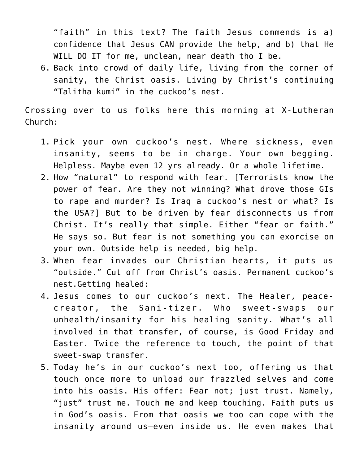"faith" in this text? The faith Jesus commends is a) confidence that Jesus CAN provide the help, and b) that He WILL DO IT for me, unclean, near death tho I be.

6. Back into crowd of daily life, living from the corner of sanity, the Christ oasis. Living by Christ's continuing "Talitha kumi" in the cuckoo's nest.

Crossing over to us folks here this morning at X-Lutheran Church:

- 1. Pick your own cuckoo's nest. Where sickness, even insanity, seems to be in charge. Your own begging. Helpless. Maybe even 12 yrs already. Or a whole lifetime.
- 2. How "natural" to respond with fear. [Terrorists know the power of fear. Are they not winning? What drove those GIs to rape and murder? Is Iraq a cuckoo's nest or what? Is the USA?] But to be driven by fear disconnects us from Christ. It's really that simple. Either "fear or faith." He says so. But fear is not something you can exorcise on your own. Outside help is needed, big help.
- 3. When fear invades our Christian hearts, it puts us "outside." Cut off from Christ's oasis. Permanent cuckoo's nest.Getting healed:
- 4. Jesus comes to our cuckoo's next. The Healer, peacecreator, the Sani-tizer. Who sweet-swaps our unhealth/insanity for his healing sanity. What's all involved in that transfer, of course, is Good Friday and Easter. Twice the reference to touch, the point of that sweet-swap transfer.
- 5. Today he's in our cuckoo's next too, offering us that touch once more to unload our frazzled selves and come into his oasis. His offer: Fear not; just trust. Namely, "just" trust me. Touch me and keep touching. Faith puts us in God's oasis. From that oasis we too can cope with the insanity around us–even inside us. He even makes that